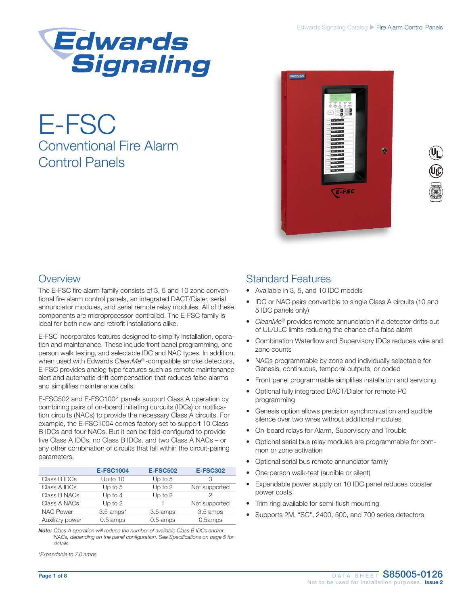

# E-FSC Conventional Fire Alarm Control Panels



### **Overview**

The E-FSC fire alarm family consists of 3, 5 and 10 zone conventional fire alarm control panels, an integrated DACT/Dialer, serial annunciator modules, and serial remote relay modules. All of these components are microprocessor-controlled. The E-FSC family is ideal for both new and retrofit installations alike.

E-FSC incorporates features designed to simplify installation, operation and maintenance. These include front panel programming, one person walk testing, and selectable IDC and NAC types. In addition, when used with Edwards *CleanMe®* -compatible smoke detectors, E-FSC provides analog type features such as remote maintenance alert and automatic drift compensation that reduces false alarms and simplifies maintenance calls.

E-FSC502 and E-FSC1004 panels support Class A operation by combining pairs of on-board initiating curcuits (IDCs) or notification circuits (NACs) to provide the necessary Class A circuits. For example, the E-FSC1004 comes factory set to support 10 Class B IDCs and four NACs. But it can be field-configured to provide five Class A IDCs, no Class B IDCs, and two Class A NACs – or any other combination of circuits that fall within the circuit-pairing parameters.

|                  | <b>E-FSC1004</b> | <b>E-FSC502</b> | <b>E-FSC302</b> |
|------------------|------------------|-----------------|-----------------|
| Class B IDCs     | Up to $10$       | Up to $5$       |                 |
| Class A IDCs     | Up to $5$        | Up to $2$       | Not supported   |
| Class B NACs     | Up to $4$        | Up to 2         |                 |
| Class A NACs     | Up to $2$        |                 | Not supported   |
| <b>NAC Power</b> | $3.5$ amps*      | 3.5 amps        | 3.5 amps        |
| Auxiliary power  | 0.5 amps         | $0.5$ amps      | 0.5amps         |

*Note: Class A operation will reduce the number of available Class B IDCs and/or NACs, depending on the panel configuration. See Specifications on page 5 for details.*

*\*Expandable to 7.0 amps*

### Standard Features

- Available in 3, 5, and 10 IDC models
- IDC or NAC pairs convertible to single Class A circuits (10 and 5 IDC panels only)
- *• CleanMe®* provides remote annunciation if a detector drifts out of UL/ULC limits reducing the chance of a false alarm
- Combination Waterflow and Supervisory IDCs reduces wire and zone counts
- NACs programmable by zone and individually selectable for Genesis, continuous, temporal outputs, or coded
- Front panel programmable simplifies installation and servicing
- Optional fully integrated DACT/Dialer for remote PC programming
- Genesis option allows precision synchronization and audible silence over two wires without additional modules
- On-board relays for Alarm, Supervisory and Trouble
- Optional serial bus relay modules are programmable for common or zone activation
- Optional serial bus remote annunciator family
- One person walk-test (audible or silent)
- Expandable power supply on 10 IDC panel reduces booster power costs
- Trim ring available for semi-flush mounting
- Supports 2M, "SC", 2400, 500, and 700 series detectors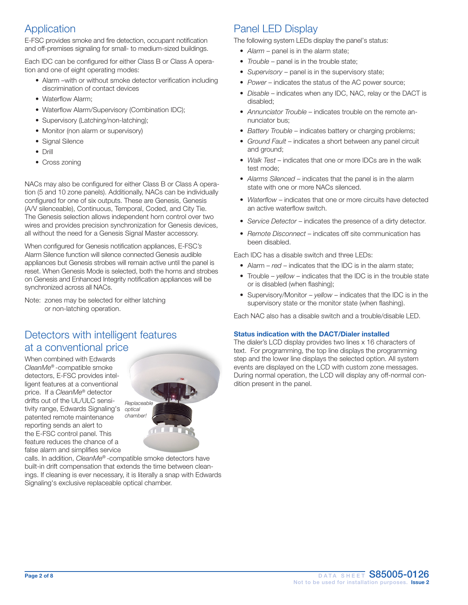# Application

E-FSC provides smoke and fire detection, occupant notification and off-premises signaling for small- to medium-sized buildings.

Each IDC can be configured for either Class B or Class A operation and one of eight operating modes:

- Alarm –with or without smoke detector verification including discrimination of contact devices
- Waterflow Alarm;
- Waterflow Alarm/Supervisory (Combination IDC);
- Supervisory (Latching/non-latching);
- Monitor (non alarm or supervisory)
- Signal Silence
- Drill
- Cross zoning

NACs may also be configured for either Class B or Class A operation (5 and 10 zone panels). Additionally, NACs can be individually configured for one of six outputs. These are Genesis, Genesis (A/V silenceable), Continuous, Temporal, Coded, and City Tie. The Genesis selection allows independent horn control over two wires and provides precision synchronization for Genesis devices, all without the need for a Genesis Signal Master accessory.

When configured for Genesis notification appliances, E-FSC*'s*  Alarm Silence function will silence connected Genesis audible appliances but Genesis strobes will remain active until the panel is reset. When Genesis Mode is selected, both the horns and strobes on Genesis and Enhanced Integrity notification appliances will be synchronized across all NACs.

Note: zones may be selected for either latching or non-latching operation.

# Detectors with intelligent features at a conventional price

When combined with Edwards *CleanMe®* -compatible smoke detectors, E-FSC provides intelligent features at a conventional price. If a *CleanMe®* detector drifts out of the UL/ULC sensitivity range, Edwards Signaling's *optical*  patented remote maintenance reporting sends an alert to the E-FSC control panel. This feature reduces the chance of a false alarm and simplifies service



calls. In addition, *CleanMe®* -compatible smoke detectors have built-in drift compensation that extends the time between cleanings. If cleaning is ever necessary, it is literally a snap with Edwards Signaling's exclusive replaceable optical chamber.

# Panel LED Display

The following system LEDs display the panel's status:

- *Alarm* panel is in the alarm state;
- *Trouble panel is in the trouble state;*
- *Supervisory* panel is in the supervisory state;
- *Power* indicates the status of the AC power source;
- *Disable –* indicates when any IDC, NAC, relay or the DACT is disabled;
- *• Annunciator Trouble*  indicates trouble on the remote annunciator bus;
- *• Battery Trouble*  indicates battery or charging problems;
- *Ground Fault* indicates a short between any panel circuit and ground;
- *Walk Test –* indicates that one or more IDCs are in the walk test mode;
- *• Alarms Silenced*  indicates that the panel is in the alarm state with one or more NACs silenced.
- *• Waterflow* indicates that one or more circuits have detected an active waterflow switch.
- *• Service Detector* indicates the presence of a dirty detector.
- *• Remote Disconnect* indicates off site communication has been disabled.

Each IDC has a disable switch and three LEDs:

- Alarm *red*  indicates that the IDC is in the alarm state;
- Trouble *yellow*  indicates that the IDC is in the trouble state or is disabled (when flashing);
- Supervisory/Monitor *yellow*  indicates that the IDC is in the supervisory state or the monitor state (when flashing).

Each NAC also has a disable switch and a trouble/disable LED.

### Status indication with the DACT/Dialer installed

The dialer's LCD display provides two lines x 16 characters of text. For programming, the top line displays the programming step and the lower line displays the selected option. All system events are displayed on the LCD with custom zone messages. During normal operation, the LCD will display any off-normal condition present in the panel.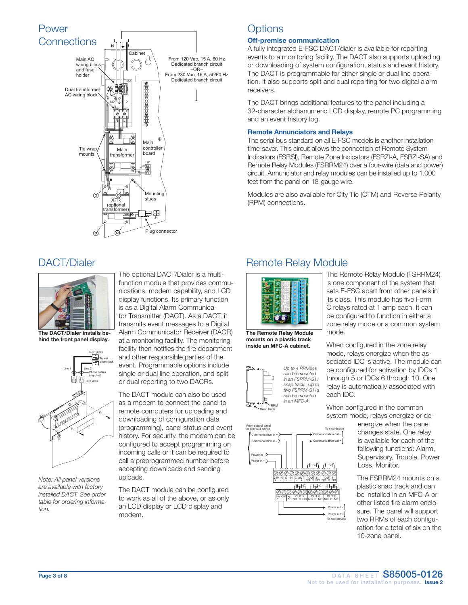

## **Options**

### Off-premise communication

A fully integrated E-FSC DACT/dialer is available for reporting events to a monitoring facility. The DACT also supports uploading or downloading of system configuration, status and event history. The DACT is programmable for either single or dual line operation. It also supports split and dual reporting for two digital alarm receivers.

The DACT brings additional features to the panel including a 32-character alphanumeric LCD display, remote PC programming and an event history log.

### Remote Annunciators and Relays

The serial bus standard on all E-FSC models is another installation time-saver. This circuit allows the connection of Remote System Indicators (FSRSI), Remote Zone Indicators (FSRZI-A, FSRZI-SA) and Remote Relay Modules (FSRRM24) over a four-wire (data and power) circuit. Annunciator and relay modules can be installed up to 1,000 feet from the panel on 18-gauge wire.

Modules are also available for City Tie (CTM) and Reverse Polarity (RPM) connections.

### DACT/Dialer



The DACT/Dialer installs behind the front panel display.



*Note: All panel versions are available with factory installed DACT. See order table for ordering information.*

The optional DACT/Dialer is a multifunction module that provides communications, modem capability, and LCD display functions. Its primary function is as a Digital Alarm Communicator Transmitter (DACT). As a DACT, it transmits event messages to a Digital Alarm Communicator Receiver (DACR) at a monitoring facility. The monitoring facility then notifies the fire department and other responsible parties of the event. Programmable options include single or dual line operation, and split or dual reporting to two DACRs.

The DACT module can also be used as a modem to connect the panel to remote computers for uploading and downloading of configuration data (programming), panel status and event history. For security, the modem can be configured to accept programming on incoming calls or it can be required to call a preprogrammed number before accepting downloads and sending uploads.

The DACT module can be configured to work as all of the above, or as only an LCD display or LCD display and modem.

### Remote Relay Module



The Remote Relay Module mounts on a plastic track inside an MFC-A cabinet.



The Remote Relay Module (FSRRM24) is one component of the system that sets E-FSC apart from other panels in its class. This module has five Form C relays rated at 1 amp each. It can be configured to function in either a zone relay mode or a common system mode.

When configured in the zone relay mode, relays energize when the associated IDC is active. The module can be configured for activation by IDCs 1 through 5 or IDCs 6 through 10. One relay is automatically associated with each IDC.

When configured in the common system mode, relays energize or de-

energize when the panel changes state. One relay is available for each of the following functions: Alarm, Supervisory, Trouble, Power Loss, Monitor.

The FSRRM24 mounts on a plastic snap track and can be installed in an MFC-A or other listed fire alarm enclosure. The panel will support two RRMs of each configuration for a total of six on the 10-zone panel.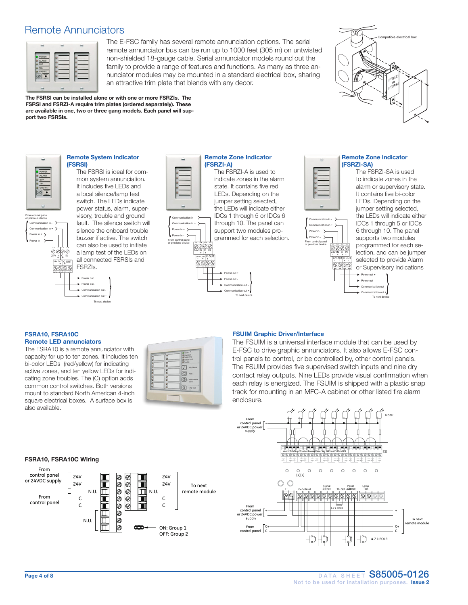### Remote Annunciators

| ۰                                                          |   |  |
|------------------------------------------------------------|---|--|
| <b>POWER</b><br><b>ALARM</b>                               |   |  |
| <b>SUP</b><br>TBL                                          |   |  |
| <b>GND FLT</b><br>$\overline{\phantom{a}}$<br><b>METAL</b> | ٠ |  |
|                                                            |   |  |

The E-FSC family has several remote annunciation options. The serial remote annunciator bus can be run up to 1000 feet (305 m) on untwisted non-shielded 18-gauge cable. Serial annunciator models round out the family to provide a range of features and functions. As many as three annunciator modules may be mounted in a standard electrical box, sharing an attractive trim plate that blends with any decor.



The FSRSI can be installed alone or with one or more FSRZIs. The FSRSI and FSRZI-A require trim plates (ordered separately). These are available in one, two or three gang models. Each panel will support two FSRSIs.



Power in + Power in -

{

From control panel or previous device

> Communication in - Communication in +

#### Remote System Indicator (FSRSI)

The FSRSI is ideal for common system annunciation. It includes five LEDs and a local silence/lamp test switch. The LEDs indicate power status, alarm, supervisory, trouble and ground fault. The silence switch will silence the onboard trouble buzzer if active. The switch can also be used to initiate 0000 a lamp test of the LEDs on all connected FSRSIs and FSRZIs.

{





Communication in - Communication in + { Power in + Power in - From control panel or previous device 0000  $24V$  IN  $C$  IN  $24V$  OUT C OL C OUT

#### Remote Zone Indicator (FSRZI-A) The FSRZI-A is used to

indicate zones in the alarm state. It contains five red LEDs. Depending on the jumper setting selected, the LEDs will indicate either IDCs 1 through 5 or IDCs 6 through 10. The panel can support two modules programmed for each selection.

> Power out + Power out -

Communication out + Communication out -

{ To next device

IN OUT TB2



Remote Zone Indicator (FSRZI-SA)

> Power out + wer out

Communication out + Communication out -

{ To next device

The FSRZI-SA is used to indicate zones in the alarm or supervisory state. It contains five bi-color LEDs. Depending on the jumper setting selected, the LEDs will indicate either IDCs 1 through 5 or IDCs 6 through 10. The panel supports two modules programmed for each selection, and can be jumper selected to provide Alarm or Supervisory indications

#### FSRA10, FSRA10C Remote LED annunciators

The FSRA10 is a remote annunciator with capacity for up to ten zones. It includes ten bi-color LEDs (red/yellow) for indicating active zones, and ten yellow LEDs for indicating zone troubles. The (C) option adds common control switches. Both versions mount to standard North American 4-inch square electrical boxes. A surface box is also available.



#### FSUIM Graphic Driver/Interface

The FSUIM is a universal interface module that can be used by E-FSC to drive graphic annunciators. It also allows E-FSC control panels to control, or be controlled by, other control panels. The FSUIM provides five supervised switch inputs and nine dry contact relay outputs. Nine LEDs provide visual confirmation when each relay is energized. The FSUIM is shipped with a plastic snap track for mounting in an MFC-A cabinet or other listed fire alarm enclosure.



#### FSRA10, FSRA10C Wiring

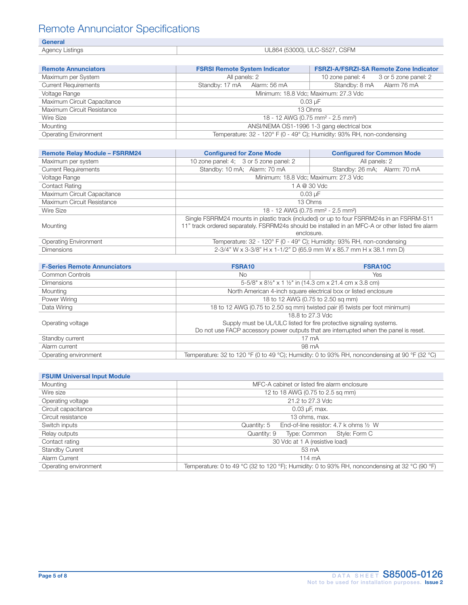# Remote Annunciator Specifications

|--|

| --------             |                               |
|----------------------|-------------------------------|
| Agency I<br>Listinas | UL864 (53000), ULC-S527, CSFM |

| <b>Remote Annunciators</b>   | <b>FSRSI Remote System Indicator</b>                                   | <b>FSRZI-A/FSRZI-SA Remote Zone Indicator</b> |  |  |  |  |
|------------------------------|------------------------------------------------------------------------|-----------------------------------------------|--|--|--|--|
| Maximum per System           | All panels: 2                                                          | 3 or 5 zone panel: 2<br>10 zone panel: 4      |  |  |  |  |
| <b>Current Requirements</b>  | Standby: 17 mA Alarm: 56 mA                                            | Standby: 8 mA<br>Alarm 76 mA                  |  |  |  |  |
| <b>Voltage Range</b>         | Minimum: 18.8 Vdc; Maximum: 27.3 Vdc                                   |                                               |  |  |  |  |
| Maximum Circuit Capacitance  | 0.03 uF                                                                |                                               |  |  |  |  |
| Maximum Circuit Resistance   | 13 Ohms                                                                |                                               |  |  |  |  |
| Wire Size                    | 18 - 12 AWG (0.75 mm <sup>2</sup> - 2.5 mm <sup>2</sup> )              |                                               |  |  |  |  |
| Mounting                     | ANSI/NEMA OS1-1996 1-3 gang electrical box                             |                                               |  |  |  |  |
| <b>Operating Environment</b> | Temperature: 32 - 120° F (0 - 49° C); Humidity: 93% RH, non-condensing |                                               |  |  |  |  |

| <b>Remote Relay Module - FSRRM24</b> | <b>Configured for Zone Mode</b><br><b>Configured for Common Mode</b>                                                                                                                                        |                                      |  |  |  |
|--------------------------------------|-------------------------------------------------------------------------------------------------------------------------------------------------------------------------------------------------------------|--------------------------------------|--|--|--|
| Maximum per system                   | 10 zone panel: 4; 3 or 5 zone panel: 2<br>All panels: 2                                                                                                                                                     |                                      |  |  |  |
| <b>Current Requirements</b>          | Standby: 10 mA; Alarm: 70 mA<br>Standby: 26 mA; Alarm: 70 mA                                                                                                                                                |                                      |  |  |  |
| <b>Voltage Range</b>                 |                                                                                                                                                                                                             | Minimum: 18.8 Vdc; Maximum: 27.3 Vdc |  |  |  |
| <b>Contact Rating</b>                |                                                                                                                                                                                                             | 1 A @ 30 Vdc                         |  |  |  |
| Maximum Circuit Capacitance          | $0.03 \text{ uF}$                                                                                                                                                                                           |                                      |  |  |  |
| Maximum Circuit Resistance           | 13 Ohms                                                                                                                                                                                                     |                                      |  |  |  |
| Wire Size                            | 18 - 12 AWG (0.75 mm <sup>2</sup> - 2.5 mm <sup>2</sup> )                                                                                                                                                   |                                      |  |  |  |
| Mounting                             | Single FSRRM24 mounts in plastic track (included) or up to four FSRRM24s in an FSRRM-S11<br>11" track ordered separately. FSRRM24s should be installed in an MFC-A or other listed fire alarm<br>enclosure. |                                      |  |  |  |
| <b>Operating Environment</b>         | Temperature: 32 - 120° F (0 - 49° C); Humidity: 93% RH, non-condensing                                                                                                                                      |                                      |  |  |  |
| <b>Dimensions</b>                    | 2-3/4" W x 3-3/8" H x 1-1/2" D (65.9 mm W x 85.7 mm H x 38.1 mm D)                                                                                                                                          |                                      |  |  |  |

| <b>F-Series Remote Annunciators</b> | FSRA10                                                                                        | <b>FSRA10C</b> |  |  |  |
|-------------------------------------|-----------------------------------------------------------------------------------------------|----------------|--|--|--|
| Common Controls                     | No.<br>Yes                                                                                    |                |  |  |  |
| <b>Dimensions</b>                   | 5-5/8" x 81/2" x 1 1/2" in (14.3 cm x 21.4 cm x 3.8 cm)                                       |                |  |  |  |
| Mounting                            | North American 4-inch square electrical box or listed enclosure                               |                |  |  |  |
| Power Wiring                        | 18 to 12 AWG (0.75 to 2.50 sq mm)                                                             |                |  |  |  |
| Data Wiring                         | 18 to 12 AWG (0.75 to 2.50 sq mm) twisted pair (6 twists per foot minimum)                    |                |  |  |  |
|                                     | 18.8 to 27.3 Vdc                                                                              |                |  |  |  |
| Operating voltage                   | Supply must be UL/ULC listed for fire protective signaling systems.                           |                |  |  |  |
|                                     | Do not use FACP accessory power outputs that are interrupted when the panel is reset.         |                |  |  |  |
| Standby current                     | $17 \text{ mA}$                                                                               |                |  |  |  |
| Alarm current                       | 98 mA                                                                                         |                |  |  |  |
| Operating environment               | Temperature: 32 to 120 °F (0 to 49 °C); Humidity: 0 to 93% RH, noncondensing at 90 °F (32 °C) |                |  |  |  |

| <b>FSUIM Universal Input Module</b> |                                                                                               |  |  |  |  |
|-------------------------------------|-----------------------------------------------------------------------------------------------|--|--|--|--|
| Mounting                            | MFC-A cabinet or listed fire alarm enclosure                                                  |  |  |  |  |
| Wire size                           | 12 to 18 AWG (0.75 to 2.5 sq mm)                                                              |  |  |  |  |
| Operating voltage                   | 21.2 to 27.3 Vdc                                                                              |  |  |  |  |
| Circuit capacitance                 | $0.03 \mu F$ , max.                                                                           |  |  |  |  |
| Circuit resistance                  | 13 ohms, max.                                                                                 |  |  |  |  |
| Switch inputs                       | End-of-line resistor: 4.7 k ohms 1/2 W<br>Quantity: 5                                         |  |  |  |  |
| Relay outputs                       | Quantity: 9<br>Type: Common<br>Style: Form C                                                  |  |  |  |  |
| Contact rating                      | 30 Vdc at 1 A (resistive load)                                                                |  |  |  |  |
| <b>Standby Curent</b>               | 53 mA                                                                                         |  |  |  |  |
| Alarm Current                       | 114 mA                                                                                        |  |  |  |  |
| Operating environment               | Temperature: 0 to 49 °C (32 to 120 °F); Humidity: 0 to 93% RH, noncondensing at 32 °C (90 °F) |  |  |  |  |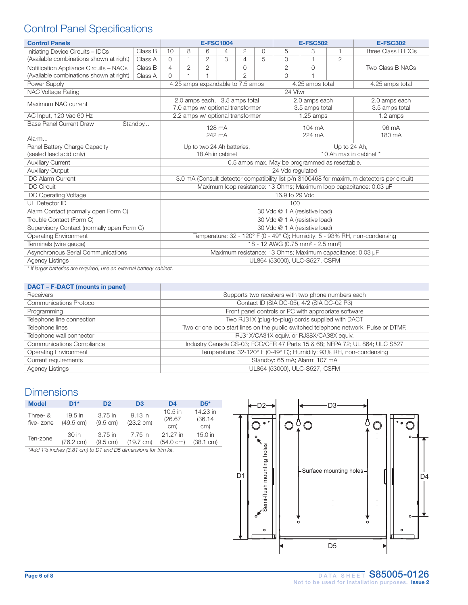# Control Panel Specifications

| <b>Control Panels</b>                                              |         | <b>E-FSC1004</b>                                                                           |                                                |                | <b>E-FSC502</b> |                                                                   |   | <b>E-FSC302</b>                 |                  |              |                                 |
|--------------------------------------------------------------------|---------|--------------------------------------------------------------------------------------------|------------------------------------------------|----------------|-----------------|-------------------------------------------------------------------|---|---------------------------------|------------------|--------------|---------------------------------|
| Initiating Device Circuits - IDCs                                  | Class B | 10                                                                                         | 8                                              | 6              | 4               | 2                                                                 | 0 | 5                               | 3                | $\mathbf{1}$ | Three Class B IDCs              |
| (Available combinations shown at right)                            | Class A | $\Omega$                                                                                   | 1                                              | 2              | 3               | 4                                                                 | 5 | $\Omega$                        | $\overline{1}$   | 2            |                                 |
| Notification Appliance Circuits - NACs                             | Class B | 4                                                                                          | $\overline{2}$                                 | $\overline{2}$ |                 | 0                                                                 |   | $\mathbf{2}$                    | $\Omega$         |              | Two Class B NACs                |
| (Available combinations shown at right)                            | Class A | $\cap$                                                                                     | 1                                              | f              |                 | 2                                                                 |   | $\Omega$                        | $\mathbf{1}$     |              |                                 |
| Power Supply                                                       |         |                                                                                            |                                                |                |                 | 4.25 amps expandable to 7.5 amps                                  |   | 4.25 amps total                 |                  |              | 4.25 amps total                 |
| NAC Voltage Rating                                                 |         |                                                                                            | 24 Vfwr                                        |                |                 |                                                                   |   |                                 |                  |              |                                 |
| Maximum NAC current                                                |         |                                                                                            |                                                |                |                 | 2.0 amps each, 3.5 amps total<br>7.0 amps w/ optional transformer |   | 2.0 amps each<br>3.5 amps total |                  |              | 2.0 amps each<br>3.5 amps total |
| AC Input, 120 Vac 60 Hz                                            |         |                                                                                            |                                                |                |                 | 2.2 amps w/ optional transformer                                  |   |                                 | $1.25$ amps      |              | 1.2 amps                        |
| <b>Base Panel Current Draw</b>                                     | Standby |                                                                                            |                                                |                | 128 mA          |                                                                   |   |                                 | $104 \text{ mA}$ |              | 96 mA                           |
| Alarm                                                              |         | 242 mA                                                                                     |                                                |                |                 |                                                                   |   | 224 mA                          |                  |              | 180 mA                          |
| Panel Battery Charge Capacity                                      |         | Up to two 24 Ah batteries,                                                                 |                                                |                |                 | Up to 24 Ah,                                                      |   |                                 |                  |              |                                 |
| (sealed lead acid only)                                            |         | 18 Ah in cabinet                                                                           |                                                |                |                 |                                                                   |   | 10 Ah max in cabinet *          |                  |              |                                 |
| <b>Auxiliary Current</b>                                           |         |                                                                                            | 0.5 amps max. May be programmed as resettable. |                |                 |                                                                   |   |                                 |                  |              |                                 |
| <b>Auxiliary Output</b>                                            |         | 24 Vdc regulated                                                                           |                                                |                |                 |                                                                   |   |                                 |                  |              |                                 |
| <b>IDC Alarm Current</b>                                           |         | 3.0 mA (Consult detector compatibility list p/n 3100468 for maximum detectors per circuit) |                                                |                |                 |                                                                   |   |                                 |                  |              |                                 |
| <b>IDC Circuit</b>                                                 |         | Maximum loop resistance: 13 Ohms; Maximum loop capacitance: 0.03 µF                        |                                                |                |                 |                                                                   |   |                                 |                  |              |                                 |
| <b>IDC Operating Voltage</b>                                       |         |                                                                                            | 16.9 to 29 Vdc                                 |                |                 |                                                                   |   |                                 |                  |              |                                 |
| UL Detector ID                                                     |         |                                                                                            | 100                                            |                |                 |                                                                   |   |                                 |                  |              |                                 |
| Alarm Contact (normally open Form C)                               |         | 30 Vdc @ 1 A (resistive load)                                                              |                                                |                |                 |                                                                   |   |                                 |                  |              |                                 |
| Trouble Contact (Form C)                                           |         | 30 Vdc @ 1 A (resistive load)                                                              |                                                |                |                 |                                                                   |   |                                 |                  |              |                                 |
| Supervisory Contact (normally open Form C)                         |         | 30 Vdc @ 1 A (resistive load)                                                              |                                                |                |                 |                                                                   |   |                                 |                  |              |                                 |
| <b>Operating Environment</b>                                       |         | Temperature: 32 - 120° F (0 - 49° C); Humidity: 5 - 93% RH, non-condensing                 |                                                |                |                 |                                                                   |   |                                 |                  |              |                                 |
| Terminals (wire gauge)                                             |         | 18 - 12 AWG (0.75 mm <sup>2</sup> - 2.5 mm <sup>2</sup> )                                  |                                                |                |                 |                                                                   |   |                                 |                  |              |                                 |
| Asynchronous Serial Communications                                 |         | Maximum resistance: 13 Ohms; Maximum capacitance: 0.03 µF                                  |                                                |                |                 |                                                                   |   |                                 |                  |              |                                 |
| <b>Agency Listings</b>                                             |         |                                                                                            | UL864 (53000), ULC-S527, CSFM                  |                |                 |                                                                   |   |                                 |                  |              |                                 |
| * If larger batteries are required use an external battery eabinet |         |                                                                                            |                                                |                |                 |                                                                   |   |                                 |                  |              |                                 |

*\* If larger batteries are required, use an external battery cabinet.*

### DACT – F-DACT (mounts in panel)

| <b>Receivers</b>                 | Supports two receivers with two phone numbers each                                   |
|----------------------------------|--------------------------------------------------------------------------------------|
| <b>Communications Protocol</b>   | Contact ID (SIA DC-05), 4/2 (SIA DC-02 P3)                                           |
| Programming                      | Front panel controls or PC with appropriate software                                 |
| Telephone line connection        | Two RJ31X (plug-to-plug) cords supplied with DACT                                    |
| Telephone lines                  | Two or one loop start lines on the public switched telephone network. Pulse or DTMF. |
| Telephone wall connector         | RJ31X/CA31X equiv. or RJ38X/CA38X equiv.                                             |
| <b>Communications Compliance</b> | Industry Canada CS-03; FCC/CFR 47 Parts 15 & 68; NFPA 72; UL 864; ULC S527           |
| <b>Operating Environment</b>     | Temperature: 32-120° F (0-49° C); Humidity: 93% RH, non-condensing                   |
| Current requirements             | Standby: 65 mA; Alarm: 107 mA                                                        |
| <b>Agency Listings</b>           | UL864 (53000), ULC-S527, CSFM                                                        |
|                                  |                                                                                      |

# **Dimensions**

| <b>Model</b>                                                                       | D1*                              | D <sub>2</sub>                | D <sub>3</sub>                 | D <sub>4</sub>                  | $DS^*$                     |  |  |
|------------------------------------------------------------------------------------|----------------------------------|-------------------------------|--------------------------------|---------------------------------|----------------------------|--|--|
| Three- &<br>five-zone                                                              | $19.5$ in<br>$(49.5 \text{ cm})$ | 3.75 in<br>(9.5 cm)           | 9.13 in<br>$(23.2 \text{ cm})$ | $10.5$ in<br>(26.67)<br>cm)     | 14.23 in<br>(36.14)<br>cm) |  |  |
| Ten-zone                                                                           | 30 in<br>$(76.2 \text{ cm})$     | 3.75 in<br>$(9.5 \text{ cm})$ | 7.75 in<br>$(19.7 \text{ cm})$ | 21.27 in<br>$(54.0 \text{ cm})$ | $15.0$ in<br>(38.1 cm)     |  |  |
| $*A$ dd 11/2 inchos (2.91 cm) to $D1$ and $D5$ dimensions for trim $\overline{kt}$ |                                  |                               |                                |                                 |                            |  |  |

*\*Add 1½ inches (3.81 cm) to D1 and D5 dimensions for trim kit.*

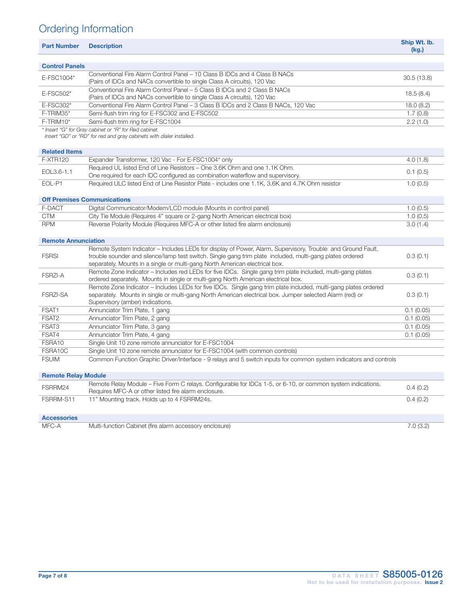# Ordering Information

|                            |                                                                                                                                                                                                                                                                                                        | Ship Wt. lb. |
|----------------------------|--------------------------------------------------------------------------------------------------------------------------------------------------------------------------------------------------------------------------------------------------------------------------------------------------------|--------------|
| <b>Part Number</b>         | <b>Description</b>                                                                                                                                                                                                                                                                                     | (kg)         |
| <b>Control Panels</b>      |                                                                                                                                                                                                                                                                                                        |              |
|                            | Conventional Fire Alarm Control Panel – 10 Class B IDCs and 4 Class B NACs                                                                                                                                                                                                                             |              |
| E-FSC1004*                 | (Pairs of IDCs and NACs convertible to single Class A circuits), 120 Vac                                                                                                                                                                                                                               | 30.5(13.8)   |
|                            | Conventional Fire Alarm Control Panel - 5 Class B IDCs and 2 Class B NACs                                                                                                                                                                                                                              |              |
| E-FSC502*                  | (Pairs of IDCs and NACs convertible to single Class A circuits), 120 Vac                                                                                                                                                                                                                               | 18.5(8.4)    |
| E-FSC302*                  | Conventional Fire Alarm Control Panel - 3 Class B IDCs and 2 Class B NACs, 120 Vac                                                                                                                                                                                                                     | 18.0(8.2)    |
| F-TRIM35*                  | Semi-flush trim ring for E-FSC302 and E-FSC502                                                                                                                                                                                                                                                         | 1.7(0.8)     |
| $F-TRIM10*$                | Semi-flush trim ring for E-FSC1004                                                                                                                                                                                                                                                                     | 2.2(1.0)     |
|                            | * Insert "G" for Gray cabinet or "R" for Red cabinet.<br>Insert "GD" or "RD" for red and gray cabinets with dialer installed.                                                                                                                                                                          |              |
| <b>Related Items</b>       |                                                                                                                                                                                                                                                                                                        |              |
| <b>F-XTR120</b>            | Expander Transformer, 120 Vac - For E-FSC1004* only                                                                                                                                                                                                                                                    | 4.0(1.8)     |
| EOL3.6-1.1                 | Required UL listed End of Line Resistors - One 3.6K Ohm and one 1.1K Ohm.<br>One required for each IDC configured as combination waterflow and supervisory.                                                                                                                                            | 0.1(0.5)     |
| EOL-P1                     | Required ULC listed End of Line Resistor Plate - includes one 1.1K, 3.6K and 4.7K Ohm resistor                                                                                                                                                                                                         | 1.0(0.5)     |
|                            | <b>Off Premises Communications</b>                                                                                                                                                                                                                                                                     |              |
| F-DACT                     | Digital Communicator/Modem/LCD module (Mounts in control panel)                                                                                                                                                                                                                                        | 1.0(0.5)     |
| <b>CTM</b>                 | City Tie Module (Requires 4" square or 2-gang North American electrical box)                                                                                                                                                                                                                           | 1.0(0.5)     |
| <b>RPM</b>                 | Reverse Polarity Module (Requires MFC-A or other listed fire alarm enclosure)                                                                                                                                                                                                                          | 3.0(1.4)     |
| <b>Remote Annunciation</b> |                                                                                                                                                                                                                                                                                                        |              |
| <b>FSRSI</b>               | Remote System Indicator - Includes LEDs for display of Power, Alarm, Supervisory, Trouble and Ground Fault,<br>trouble sounder and silence/lamp test switch. Single gang trim plate included, multi-gang plates ordered<br>separately. Mounts in a single or multi-gang North American electrical box. | 0.3(0.1)     |
| <b>FSRZI-A</b>             | Remote Zone Indicator - Includes red LEDs for five IDCs. Single gang trim plate included, multi-gang plates<br>ordered separately. Mounts in single or multi-gang North American electrical box.                                                                                                       | 0.3(0.1)     |
| <b>FSRZI-SA</b>            | Remote Zone Indicator - Includes LEDs for five IDCs. Single gang trim plate included, multi-gang plates ordered<br>separately. Mounts in single or multi-gang North American electrical box. Jumper selected Alarm (red) or<br>Supervisory (amber) indications.                                        | 0.3(0.1)     |
| FSAT1                      | Annunciator Trim Plate, 1 gang                                                                                                                                                                                                                                                                         | 0.1(0.05)    |
| FSAT2                      | Annunciator Trim Plate, 2 gang                                                                                                                                                                                                                                                                         | 0.1(0.05)    |
| FSAT3                      | Annunciator Trim Plate, 3 gang                                                                                                                                                                                                                                                                         | 0.1(0.05)    |
| FSAT4                      | Annunciator Trim Plate, 4 gang                                                                                                                                                                                                                                                                         | 0.1(0.05)    |
| FSRA10                     | Single Unit 10 zone remote annunciator for E-FSC1004                                                                                                                                                                                                                                                   |              |
| FSRA10C                    | Single Unit 10 zone remote annunciator for E-FSC1004 (with common controls)                                                                                                                                                                                                                            |              |
| <b>FSUIM</b>               | Common Function Graphic Driver/Interface - 9 relays and 5 switch inputs for common system indicators and controls                                                                                                                                                                                      |              |
| <b>Remote Relay Module</b> |                                                                                                                                                                                                                                                                                                        |              |
| FSRRM24                    | Remote Relay Module – Five Form C relays. Configurable for IDCs 1-5, or 6-10, or common system indications.<br>Requires MFC-A or other listed fire alarm enclosure.                                                                                                                                    | 0.4(0.2)     |
| FSRRM-S11                  | 11" Mounting track. Holds up to 4 FSRRM24s.                                                                                                                                                                                                                                                            | 0.4(0.2)     |

Accessories

MFC-A Multi-function Cabinet (fire alarm accessory enclosure) 7.0 (3.2)